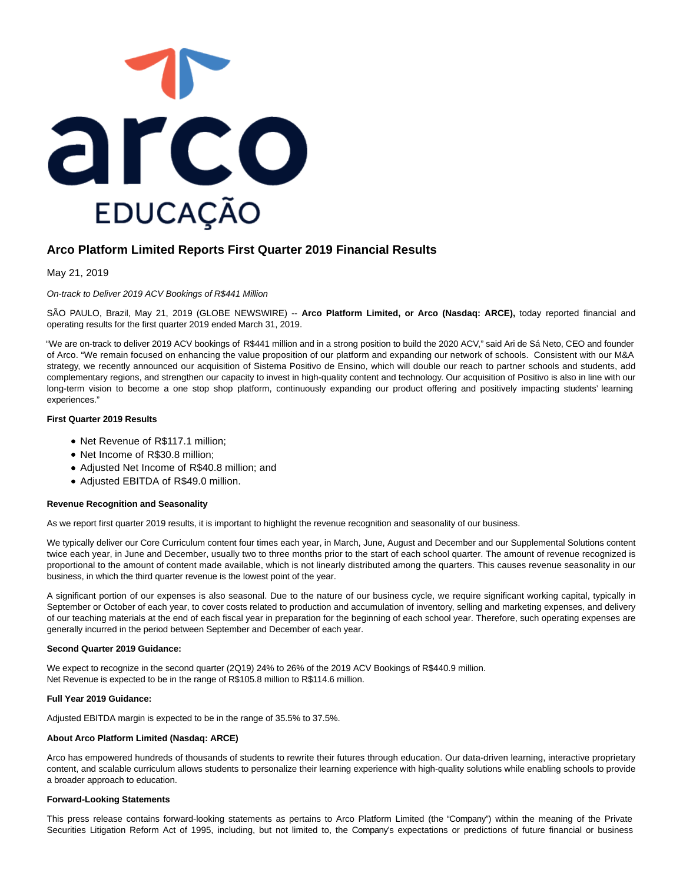

# **Arco Platform Limited Reports First Quarter 2019 Financial Results**

May 21, 2019

On-track to Deliver 2019 ACV Bookings of R\$441 Million

SÃO PAULO, Brazil, May 21, 2019 (GLOBE NEWSWIRE) -- **Arco Platform Limited, or Arco (Nasdaq: ARCE),** today reported financial and operating results for the first quarter 2019 ended March 31, 2019.

"We are on-track to deliver 2019 ACV bookings of R\$441 million and in a strong position to build the 2020 ACV," said Ari de Sá Neto, CEO and founder of Arco. "We remain focused on enhancing the value proposition of our platform and expanding our network of schools. Consistent with our M&A strategy, we recently announced our acquisition of Sistema Positivo de Ensino, which will double our reach to partner schools and students, add complementary regions, and strengthen our capacity to invest in high-quality content and technology. Our acquisition of Positivo is also in line with our long-term vision to become a one stop shop platform, continuously expanding our product offering and positively impacting students' learning experiences."

# **First Quarter 2019 Results**

- Net Revenue of R\$117.1 million;
- Net Income of R\$30.8 million;
- Adjusted Net Income of R\$40.8 million; and
- Adjusted EBITDA of R\$49.0 million.

## **Revenue Recognition and Seasonality**

As we report first quarter 2019 results, it is important to highlight the revenue recognition and seasonality of our business.

We typically deliver our Core Curriculum content four times each year, in March, June, August and December and our Supplemental Solutions content twice each year, in June and December, usually two to three months prior to the start of each school quarter. The amount of revenue recognized is proportional to the amount of content made available, which is not linearly distributed among the quarters. This causes revenue seasonality in our business, in which the third quarter revenue is the lowest point of the year.

A significant portion of our expenses is also seasonal. Due to the nature of our business cycle, we require significant working capital, typically in September or October of each year, to cover costs related to production and accumulation of inventory, selling and marketing expenses, and delivery of our teaching materials at the end of each fiscal year in preparation for the beginning of each school year. Therefore, such operating expenses are generally incurred in the period between September and December of each year.

#### **Second Quarter 2019 Guidance:**

We expect to recognize in the second quarter (2Q19) 24% to 26% of the 2019 ACV Bookings of R\$440.9 million. Net Revenue is expected to be in the range of R\$105.8 million to R\$114.6 million.

## **Full Year 2019 Guidance:**

Adjusted EBITDA margin is expected to be in the range of 35.5% to 37.5%.

#### **About Arco Platform Limited (Nasdaq: ARCE)**

Arco has empowered hundreds of thousands of students to rewrite their futures through education. Our data-driven learning, interactive proprietary content, and scalable curriculum allows students to personalize their learning experience with high-quality solutions while enabling schools to provide a broader approach to education.

#### **Forward-Looking Statements**

This press release contains forward-looking statements as pertains to Arco Platform Limited (the "Company") within the meaning of the Private Securities Litigation Reform Act of 1995, including, but not limited to, the Company's expectations or predictions of future financial or business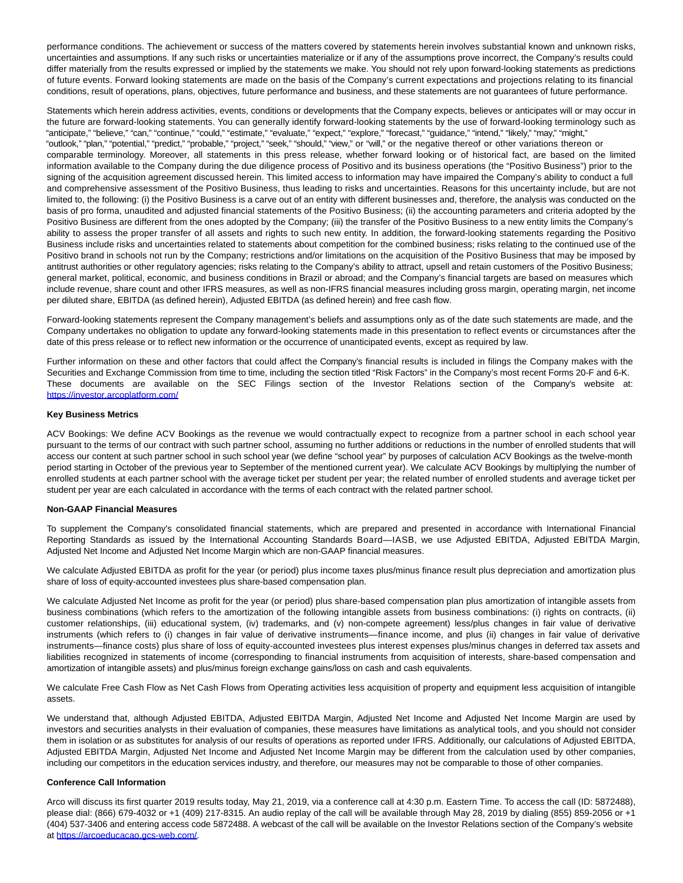performance conditions. The achievement or success of the matters covered by statements herein involves substantial known and unknown risks, uncertainties and assumptions. If any such risks or uncertainties materialize or if any of the assumptions prove incorrect, the Company's results could differ materially from the results expressed or implied by the statements we make. You should not rely upon forward-looking statements as predictions of future events. Forward looking statements are made on the basis of the Company's current expectations and projections relating to its financial conditions, result of operations, plans, objectives, future performance and business, and these statements are not guarantees of future performance.

Statements which herein address activities, events, conditions or developments that the Company expects, believes or anticipates will or may occur in the future are forward-looking statements. You can generally identify forward-looking statements by the use of forward-looking terminology such as "anticipate," "believe," "can," "continue," "could," "estimate," "evaluate," "expect," "explore," "forecast," "guidance," "intend," "likely," "may," "might," "outlook," "plan," "potential," "predict," "probable," "project," "seek," "should," "view," or "will," or the negative thereof or other variations thereon or comparable terminology. Moreover, all statements in this press release, whether forward looking or of historical fact, are based on the limited information available to the Company during the due diligence process of Positivo and its business operations (the "Positivo Business") prior to the signing of the acquisition agreement discussed herein. This limited access to information may have impaired the Company's ability to conduct a full and comprehensive assessment of the Positivo Business, thus leading to risks and uncertainties. Reasons for this uncertainty include, but are not limited to, the following: (i) the Positivo Business is a carve out of an entity with different businesses and, therefore, the analysis was conducted on the basis of pro forma, unaudited and adjusted financial statements of the Positivo Business; (ii) the accounting parameters and criteria adopted by the Positivo Business are different from the ones adopted by the Company; (iii) the transfer of the Positivo Business to a new entity limits the Company's ability to assess the proper transfer of all assets and rights to such new entity. In addition, the forward-looking statements regarding the Positivo Business include risks and uncertainties related to statements about competition for the combined business; risks relating to the continued use of the Positivo brand in schools not run by the Company; restrictions and/or limitations on the acquisition of the Positivo Business that may be imposed by antitrust authorities or other regulatory agencies; risks relating to the Company's ability to attract, upsell and retain customers of the Positivo Business; general market, political, economic, and business conditions in Brazil or abroad; and the Company's financial targets are based on measures which include revenue, share count and other IFRS measures, as well as non-IFRS financial measures including gross margin, operating margin, net income per diluted share, EBITDA (as defined herein), Adjusted EBITDA (as defined herein) and free cash flow.

Forward-looking statements represent the Company management's beliefs and assumptions only as of the date such statements are made, and the Company undertakes no obligation to update any forward-looking statements made in this presentation to reflect events or circumstances after the date of this press release or to reflect new information or the occurrence of unanticipated events, except as required by law.

Further information on these and other factors that could affect the Company's financial results is included in filings the Company makes with the Securities and Exchange Commission from time to time, including the section titled "Risk Factors" in the Company's most recent Forms 20-F and 6-K. These documents are available on the SEC Filings section of the Investor Relations section of the Company's website at: [https://investor.arcoplatform.com/](https://www.globenewswire.com/Tracker?data=Rr0BsjgYbwlwgQ2assAFUDQlsdBidj-fEOAeql5Ce_IBfbXaTpqeCe7Oh7pHihoPpiJvjpSm_tZOCoMLa_PeYnW63UpckpG2ZtQ2n9AkE6OnHcsaA_KTMIhx1fMFbgfI)

## **Key Business Metrics**

ACV Bookings: We define ACV Bookings as the revenue we would contractually expect to recognize from a partner school in each school year pursuant to the terms of our contract with such partner school, assuming no further additions or reductions in the number of enrolled students that will access our content at such partner school in such school year (we define "school year" by purposes of calculation ACV Bookings as the twelve-month period starting in October of the previous year to September of the mentioned current year). We calculate ACV Bookings by multiplying the number of enrolled students at each partner school with the average ticket per student per year; the related number of enrolled students and average ticket per student per year are each calculated in accordance with the terms of each contract with the related partner school.

#### **Non-GAAP Financial Measures**

To supplement the Company's consolidated financial statements, which are prepared and presented in accordance with International Financial Reporting Standards as issued by the International Accounting Standards Board—IASB, we use Adjusted EBITDA, Adjusted EBITDA Margin, Adjusted Net Income and Adjusted Net Income Margin which are non-GAAP financial measures.

We calculate Adjusted EBITDA as profit for the year (or period) plus income taxes plus/minus finance result plus depreciation and amortization plus share of loss of equity-accounted investees plus share-based compensation plan.

We calculate Adjusted Net Income as profit for the year (or period) plus share-based compensation plan plus amortization of intangible assets from business combinations (which refers to the amortization of the following intangible assets from business combinations: (i) rights on contracts, (ii) customer relationships, (iii) educational system, (iv) trademarks, and (v) non-compete agreement) less/plus changes in fair value of derivative instruments (which refers to (i) changes in fair value of derivative instruments—finance income, and plus (ii) changes in fair value of derivative instruments—finance costs) plus share of loss of equity-accounted investees plus interest expenses plus/minus changes in deferred tax assets and liabilities recognized in statements of income (corresponding to financial instruments from acquisition of interests, share-based compensation and amortization of intangible assets) and plus/minus foreign exchange gains/loss on cash and cash equivalents.

We calculate Free Cash Flow as Net Cash Flows from Operating activities less acquisition of property and equipment less acquisition of intangible assets.

We understand that, although Adjusted EBITDA, Adjusted EBITDA Margin, Adjusted Net Income and Adjusted Net Income Margin are used by investors and securities analysts in their evaluation of companies, these measures have limitations as analytical tools, and you should not consider them in isolation or as substitutes for analysis of our results of operations as reported under IFRS. Additionally, our calculations of Adjusted EBITDA, Adjusted EBITDA Margin, Adjusted Net Income and Adjusted Net Income Margin may be different from the calculation used by other companies, including our competitors in the education services industry, and therefore, our measures may not be comparable to those of other companies.

## **Conference Call Information**

Arco will discuss its first quarter 2019 results today, May 21, 2019, via a conference call at 4:30 p.m. Eastern Time. To access the call (ID: 5872488), please dial: (866) 679-4032 or +1 (409) 217-8315. An audio replay of the call will be available through May 28, 2019 by dialing (855) 859-2056 or +1 (404) 537-3406 and entering access code 5872488. A webcast of the call will be available on the Investor Relations section of the Company's website at [https://arcoeducacao.gcs-web.com/.](https://arcoeducacao.gcs-web.com/)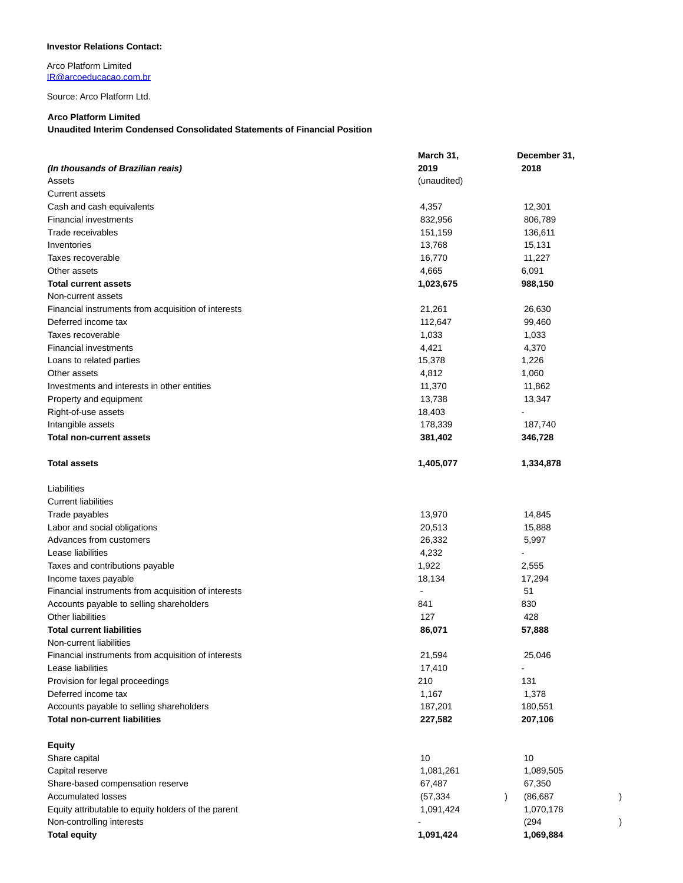# **Investor Relations Contact:**

Arco Platform Limited [IR@arcoeducacao.com.br](https://www.globenewswire.com/Tracker?data=nssGGu9mecJpfn-4YSy7hjsY-Q-DVi0G_ziMkKPtFJElOqizOu46u_33rp-e4utyChAQ1A0ycKKYZLMjd3_stTOIwyNj6Mj7EN9AbKiw--U=)

Source: Arco Platform Ltd.

# **Arco Platform Limited**

**Unaudited Interim Condensed Consolidated Statements of Financial Position**

|                                                     | March 31,   | December 31,           |  |
|-----------------------------------------------------|-------------|------------------------|--|
| (In thousands of Brazilian reais)                   | 2019        | 2018                   |  |
| Assets                                              | (unaudited) |                        |  |
| <b>Current assets</b>                               |             |                        |  |
| Cash and cash equivalents                           | 4,357       | 12,301                 |  |
| <b>Financial investments</b>                        | 832,956     | 806,789                |  |
| Trade receivables                                   | 151,159     | 136,611                |  |
| Inventories                                         | 13,768      | 15,131                 |  |
| Taxes recoverable                                   | 16,770      | 11,227                 |  |
| Other assets                                        | 4,665       | 6,091                  |  |
| <b>Total current assets</b>                         | 1,023,675   | 988,150                |  |
| Non-current assets                                  |             |                        |  |
| Financial instruments from acquisition of interests | 21,261      | 26,630                 |  |
| Deferred income tax                                 | 112,647     | 99,460                 |  |
| Taxes recoverable                                   | 1,033       | 1,033                  |  |
| <b>Financial investments</b>                        | 4,421       | 4,370                  |  |
| Loans to related parties                            | 15,378      | 1,226                  |  |
| Other assets                                        | 4,812       | 1,060                  |  |
| Investments and interests in other entities         | 11,370      | 11,862                 |  |
| Property and equipment                              | 13,738      | 13,347                 |  |
| Right-of-use assets                                 | 18,403      |                        |  |
| Intangible assets                                   | 178,339     | 187,740                |  |
| <b>Total non-current assets</b>                     | 381,402     | 346,728                |  |
|                                                     |             |                        |  |
| <b>Total assets</b>                                 | 1,405,077   | 1,334,878              |  |
| Liabilities                                         |             |                        |  |
| <b>Current liabilities</b>                          |             |                        |  |
| Trade payables                                      | 13,970      | 14,845                 |  |
| Labor and social obligations                        | 20,513      | 15,888                 |  |
| Advances from customers                             | 26,332      | 5,997                  |  |
| Lease liabilities                                   | 4,232       |                        |  |
| Taxes and contributions payable                     | 1,922       | 2,555                  |  |
| Income taxes payable                                | 18,134      | 17,294                 |  |
| Financial instruments from acquisition of interests |             | 51                     |  |
| Accounts payable to selling shareholders            | 841         | 830                    |  |
| Other liabilities                                   | 127         | 428                    |  |
| <b>Total current liabilities</b>                    | 86,071      | 57,888                 |  |
| Non-current liabilities                             |             |                        |  |
| Financial instruments from acquisition of interests | 21,594      | 25,046                 |  |
| Lease liabilities                                   | 17,410      |                        |  |
| Provision for legal proceedings                     | 210         | 131                    |  |
| Deferred income tax                                 | 1,167       | 1,378                  |  |
| Accounts payable to selling shareholders            | 187,201     | 180,551                |  |
| <b>Total non-current liabilities</b>                | 227,582     | 207,106                |  |
| <b>Equity</b>                                       |             |                        |  |
| Share capital                                       | 10          | 10                     |  |
| Capital reserve                                     | 1,081,261   | 1,089,505              |  |
| Share-based compensation reserve                    | 67,487      | 67,350                 |  |
| <b>Accumulated losses</b>                           | (57, 334)   | (86, 687)<br>$\lambda$ |  |
| Equity attributable to equity holders of the parent | 1,091,424   | 1,070,178              |  |
| Non-controlling interests                           |             | (294)                  |  |
| <b>Total equity</b>                                 | 1,091,424   | 1,069,884              |  |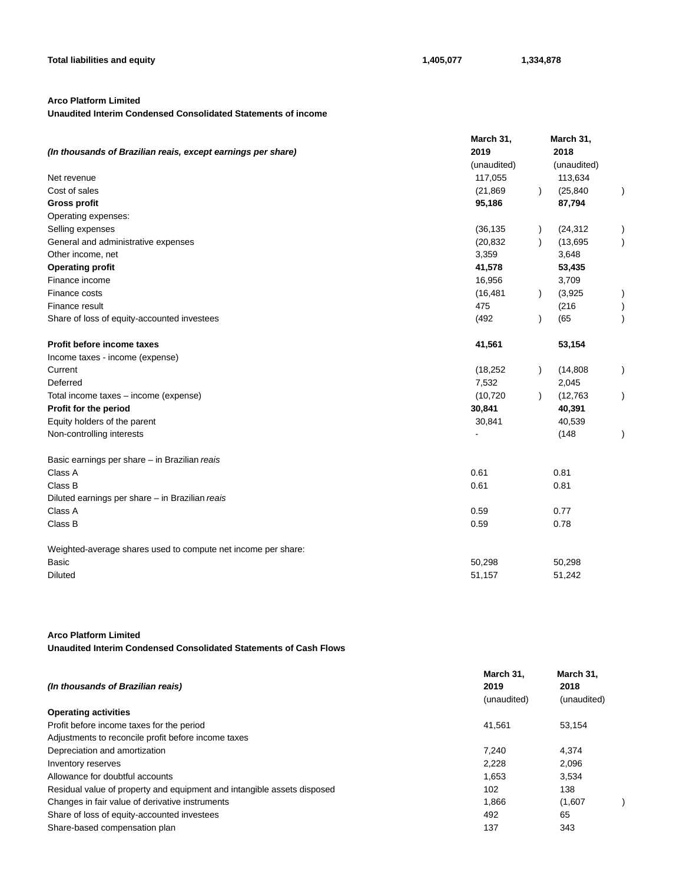# **Arco Platform Limited**

# **Unaudited Interim Condensed Consolidated Statements of income**

| (In thousands of Brazilian reais, except earnings per share)  | March 31,<br>2019 | March 31,<br>2018 |             |           |
|---------------------------------------------------------------|-------------------|-------------------|-------------|-----------|
|                                                               | (unaudited)       |                   | (unaudited) |           |
| Net revenue                                                   | 117,055           |                   | 113,634     |           |
| Cost of sales                                                 | (21, 869)         |                   | (25, 840)   | $\lambda$ |
| <b>Gross profit</b>                                           | 95,186            |                   | 87,794      |           |
| Operating expenses:                                           |                   |                   |             |           |
| Selling expenses                                              | (36, 135)         |                   | (24, 312)   |           |
| General and administrative expenses                           | (20, 832)         |                   | (13,695)    |           |
| Other income, net                                             | 3,359             |                   | 3,648       |           |
| <b>Operating profit</b>                                       | 41,578            |                   | 53,435      |           |
| Finance income                                                | 16,956            |                   | 3,709       |           |
| Finance costs                                                 | (16, 481)         |                   | (3,925)     |           |
| Finance result                                                | 475               |                   | (216)       |           |
| Share of loss of equity-accounted investees                   | (492)             | $\lambda$         | (65)        |           |
| Profit before income taxes                                    | 41,561            |                   | 53,154      |           |
| Income taxes - income (expense)                               |                   |                   |             |           |
| Current                                                       | (18, 252)         | $\lambda$         | (14,808)    |           |
| Deferred                                                      | 7,532             |                   | 2,045       |           |
| Total income taxes - income (expense)                         | (10, 720)         |                   | (12,763)    |           |
| Profit for the period                                         | 30,841            |                   | 40,391      |           |
| Equity holders of the parent                                  | 30,841            |                   | 40,539      |           |
| Non-controlling interests                                     |                   |                   | (148)       |           |
| Basic earnings per share - in Brazilian reais                 |                   |                   |             |           |
| Class A                                                       | 0.61              |                   | 0.81        |           |
| Class B                                                       | 0.61              |                   | 0.81        |           |
| Diluted earnings per share - in Brazilian reais               |                   |                   |             |           |
| Class A                                                       | 0.59              |                   | 0.77        |           |
| Class B                                                       | 0.59              |                   | 0.78        |           |
| Weighted-average shares used to compute net income per share: |                   |                   |             |           |
| Basic                                                         | 50,298            |                   | 50,298      |           |
| <b>Diluted</b>                                                | 51,157            |                   | 51,242      |           |
|                                                               |                   |                   |             |           |

**Arco Platform Limited**

**Unaudited Interim Condensed Consolidated Statements of Cash Flows**

| (In thousands of Brazilian reais)                                       | March 31.<br>2019 | March 31.<br>2018 |
|-------------------------------------------------------------------------|-------------------|-------------------|
|                                                                         | (unaudited)       | (unaudited)       |
| <b>Operating activities</b>                                             |                   |                   |
| Profit before income taxes for the period                               | 41.561            | 53.154            |
| Adjustments to reconcile profit before income taxes                     |                   |                   |
| Depreciation and amortization                                           | 7.240             | 4,374             |
| Inventory reserves                                                      | 2,228             | 2,096             |
| Allowance for doubtful accounts                                         | 1,653             | 3,534             |
| Residual value of property and equipment and intangible assets disposed | 102               | 138               |
| Changes in fair value of derivative instruments                         | 1.866             | (1,607)           |
| Share of loss of equity-accounted investees                             | 492               | 65                |
| Share-based compensation plan                                           | 137               | 343               |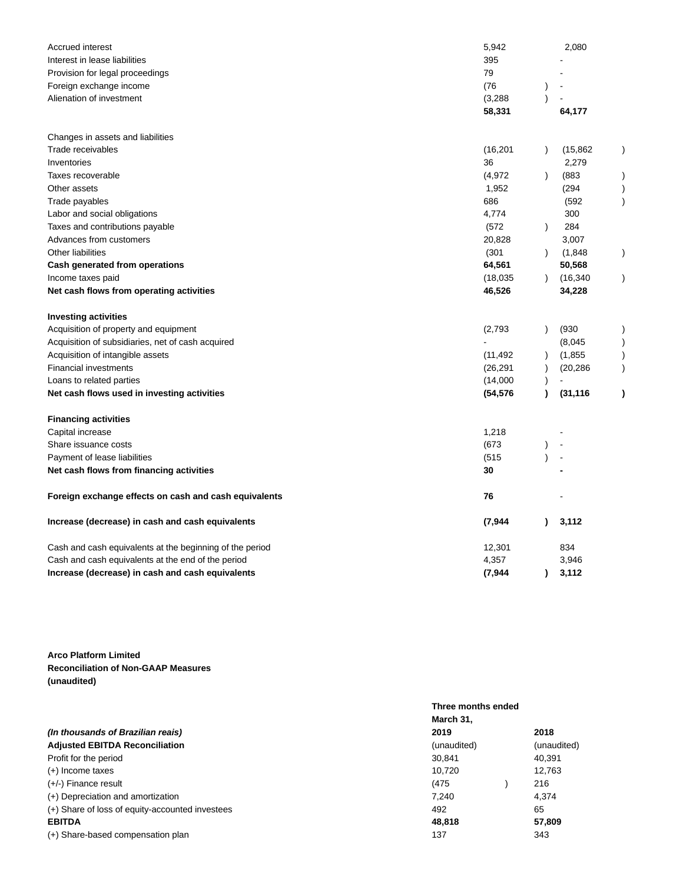| 395<br>Interest in lease liabilities<br>79<br>Provision for legal proceedings<br>(76)<br>Foreign exchange income<br>Alienation of investment<br>(3,288)<br>$\lambda$<br>58,331<br>64,177<br>Changes in assets and liabilities<br>Trade receivables<br>(16, 201)<br>(15, 862)<br>$\lambda$<br>2,279<br>Inventories<br>36<br>(4, 972)<br>(883)<br>Taxes recoverable<br>$\lambda$<br>(294)<br>1,952<br>Other assets<br>686<br>Trade payables<br>(592)<br>4,774<br>300<br>Labor and social obligations<br>284<br>Taxes and contributions payable<br>(572)<br>$\lambda$<br>20,828<br>3,007<br>Advances from customers<br><b>Other liabilities</b><br>(301)<br>(1,848)<br>$\lambda$<br>Cash generated from operations<br>64,561<br>50,568<br>Income taxes paid<br>(18,035)<br>(16, 340)<br>$\lambda$<br>Net cash flows from operating activities<br>46,526<br>34,228<br><b>Investing activities</b><br>(930)<br>Acquisition of property and equipment<br>(2,793)<br>$\lambda$<br>Acquisition of subsidiaries, net of cash acquired<br>(8,045)<br>Acquisition of intangible assets<br>(11, 492)<br>(1,855)<br>$\lambda$<br><b>Financial investments</b><br>(26, 291)<br>(20, 286)<br>$\lambda$<br>Loans to related parties<br>(14,000)<br>Net cash flows used in investing activities<br>(54, 576)<br>(31, 116)<br>$\lambda$<br><b>Financing activities</b><br>Capital increase<br>1,218<br>(673)<br>Share issuance costs<br>Payment of lease liabilities<br>(515)<br>Net cash flows from financing activities<br>30<br>Foreign exchange effects on cash and cash equivalents<br>76<br>Increase (decrease) in cash and cash equivalents<br>(7, 944)<br>3,112<br>$\lambda$<br>834<br>Cash and cash equivalents at the beginning of the period<br>12,301<br>Cash and cash equivalents at the end of the period<br>4,357<br>3,946<br>(7, 944)<br>3,112<br>Increase (decrease) in cash and cash equivalents<br>$\mathcal{L}$ | Accrued interest | 5,942 | 2,080 |  |
|-------------------------------------------------------------------------------------------------------------------------------------------------------------------------------------------------------------------------------------------------------------------------------------------------------------------------------------------------------------------------------------------------------------------------------------------------------------------------------------------------------------------------------------------------------------------------------------------------------------------------------------------------------------------------------------------------------------------------------------------------------------------------------------------------------------------------------------------------------------------------------------------------------------------------------------------------------------------------------------------------------------------------------------------------------------------------------------------------------------------------------------------------------------------------------------------------------------------------------------------------------------------------------------------------------------------------------------------------------------------------------------------------------------------------------------------------------------------------------------------------------------------------------------------------------------------------------------------------------------------------------------------------------------------------------------------------------------------------------------------------------------------------------------------------------------------------------------------------------------------------------------------------------------------|------------------|-------|-------|--|
|                                                                                                                                                                                                                                                                                                                                                                                                                                                                                                                                                                                                                                                                                                                                                                                                                                                                                                                                                                                                                                                                                                                                                                                                                                                                                                                                                                                                                                                                                                                                                                                                                                                                                                                                                                                                                                                                                                                   |                  |       |       |  |
|                                                                                                                                                                                                                                                                                                                                                                                                                                                                                                                                                                                                                                                                                                                                                                                                                                                                                                                                                                                                                                                                                                                                                                                                                                                                                                                                                                                                                                                                                                                                                                                                                                                                                                                                                                                                                                                                                                                   |                  |       |       |  |
|                                                                                                                                                                                                                                                                                                                                                                                                                                                                                                                                                                                                                                                                                                                                                                                                                                                                                                                                                                                                                                                                                                                                                                                                                                                                                                                                                                                                                                                                                                                                                                                                                                                                                                                                                                                                                                                                                                                   |                  |       |       |  |
|                                                                                                                                                                                                                                                                                                                                                                                                                                                                                                                                                                                                                                                                                                                                                                                                                                                                                                                                                                                                                                                                                                                                                                                                                                                                                                                                                                                                                                                                                                                                                                                                                                                                                                                                                                                                                                                                                                                   |                  |       |       |  |
|                                                                                                                                                                                                                                                                                                                                                                                                                                                                                                                                                                                                                                                                                                                                                                                                                                                                                                                                                                                                                                                                                                                                                                                                                                                                                                                                                                                                                                                                                                                                                                                                                                                                                                                                                                                                                                                                                                                   |                  |       |       |  |
|                                                                                                                                                                                                                                                                                                                                                                                                                                                                                                                                                                                                                                                                                                                                                                                                                                                                                                                                                                                                                                                                                                                                                                                                                                                                                                                                                                                                                                                                                                                                                                                                                                                                                                                                                                                                                                                                                                                   |                  |       |       |  |
|                                                                                                                                                                                                                                                                                                                                                                                                                                                                                                                                                                                                                                                                                                                                                                                                                                                                                                                                                                                                                                                                                                                                                                                                                                                                                                                                                                                                                                                                                                                                                                                                                                                                                                                                                                                                                                                                                                                   |                  |       |       |  |
|                                                                                                                                                                                                                                                                                                                                                                                                                                                                                                                                                                                                                                                                                                                                                                                                                                                                                                                                                                                                                                                                                                                                                                                                                                                                                                                                                                                                                                                                                                                                                                                                                                                                                                                                                                                                                                                                                                                   |                  |       |       |  |
|                                                                                                                                                                                                                                                                                                                                                                                                                                                                                                                                                                                                                                                                                                                                                                                                                                                                                                                                                                                                                                                                                                                                                                                                                                                                                                                                                                                                                                                                                                                                                                                                                                                                                                                                                                                                                                                                                                                   |                  |       |       |  |
|                                                                                                                                                                                                                                                                                                                                                                                                                                                                                                                                                                                                                                                                                                                                                                                                                                                                                                                                                                                                                                                                                                                                                                                                                                                                                                                                                                                                                                                                                                                                                                                                                                                                                                                                                                                                                                                                                                                   |                  |       |       |  |
|                                                                                                                                                                                                                                                                                                                                                                                                                                                                                                                                                                                                                                                                                                                                                                                                                                                                                                                                                                                                                                                                                                                                                                                                                                                                                                                                                                                                                                                                                                                                                                                                                                                                                                                                                                                                                                                                                                                   |                  |       |       |  |
|                                                                                                                                                                                                                                                                                                                                                                                                                                                                                                                                                                                                                                                                                                                                                                                                                                                                                                                                                                                                                                                                                                                                                                                                                                                                                                                                                                                                                                                                                                                                                                                                                                                                                                                                                                                                                                                                                                                   |                  |       |       |  |
|                                                                                                                                                                                                                                                                                                                                                                                                                                                                                                                                                                                                                                                                                                                                                                                                                                                                                                                                                                                                                                                                                                                                                                                                                                                                                                                                                                                                                                                                                                                                                                                                                                                                                                                                                                                                                                                                                                                   |                  |       |       |  |
|                                                                                                                                                                                                                                                                                                                                                                                                                                                                                                                                                                                                                                                                                                                                                                                                                                                                                                                                                                                                                                                                                                                                                                                                                                                                                                                                                                                                                                                                                                                                                                                                                                                                                                                                                                                                                                                                                                                   |                  |       |       |  |
|                                                                                                                                                                                                                                                                                                                                                                                                                                                                                                                                                                                                                                                                                                                                                                                                                                                                                                                                                                                                                                                                                                                                                                                                                                                                                                                                                                                                                                                                                                                                                                                                                                                                                                                                                                                                                                                                                                                   |                  |       |       |  |
|                                                                                                                                                                                                                                                                                                                                                                                                                                                                                                                                                                                                                                                                                                                                                                                                                                                                                                                                                                                                                                                                                                                                                                                                                                                                                                                                                                                                                                                                                                                                                                                                                                                                                                                                                                                                                                                                                                                   |                  |       |       |  |
|                                                                                                                                                                                                                                                                                                                                                                                                                                                                                                                                                                                                                                                                                                                                                                                                                                                                                                                                                                                                                                                                                                                                                                                                                                                                                                                                                                                                                                                                                                                                                                                                                                                                                                                                                                                                                                                                                                                   |                  |       |       |  |
|                                                                                                                                                                                                                                                                                                                                                                                                                                                                                                                                                                                                                                                                                                                                                                                                                                                                                                                                                                                                                                                                                                                                                                                                                                                                                                                                                                                                                                                                                                                                                                                                                                                                                                                                                                                                                                                                                                                   |                  |       |       |  |
|                                                                                                                                                                                                                                                                                                                                                                                                                                                                                                                                                                                                                                                                                                                                                                                                                                                                                                                                                                                                                                                                                                                                                                                                                                                                                                                                                                                                                                                                                                                                                                                                                                                                                                                                                                                                                                                                                                                   |                  |       |       |  |
|                                                                                                                                                                                                                                                                                                                                                                                                                                                                                                                                                                                                                                                                                                                                                                                                                                                                                                                                                                                                                                                                                                                                                                                                                                                                                                                                                                                                                                                                                                                                                                                                                                                                                                                                                                                                                                                                                                                   |                  |       |       |  |
|                                                                                                                                                                                                                                                                                                                                                                                                                                                                                                                                                                                                                                                                                                                                                                                                                                                                                                                                                                                                                                                                                                                                                                                                                                                                                                                                                                                                                                                                                                                                                                                                                                                                                                                                                                                                                                                                                                                   |                  |       |       |  |
|                                                                                                                                                                                                                                                                                                                                                                                                                                                                                                                                                                                                                                                                                                                                                                                                                                                                                                                                                                                                                                                                                                                                                                                                                                                                                                                                                                                                                                                                                                                                                                                                                                                                                                                                                                                                                                                                                                                   |                  |       |       |  |
|                                                                                                                                                                                                                                                                                                                                                                                                                                                                                                                                                                                                                                                                                                                                                                                                                                                                                                                                                                                                                                                                                                                                                                                                                                                                                                                                                                                                                                                                                                                                                                                                                                                                                                                                                                                                                                                                                                                   |                  |       |       |  |
|                                                                                                                                                                                                                                                                                                                                                                                                                                                                                                                                                                                                                                                                                                                                                                                                                                                                                                                                                                                                                                                                                                                                                                                                                                                                                                                                                                                                                                                                                                                                                                                                                                                                                                                                                                                                                                                                                                                   |                  |       |       |  |
|                                                                                                                                                                                                                                                                                                                                                                                                                                                                                                                                                                                                                                                                                                                                                                                                                                                                                                                                                                                                                                                                                                                                                                                                                                                                                                                                                                                                                                                                                                                                                                                                                                                                                                                                                                                                                                                                                                                   |                  |       |       |  |
|                                                                                                                                                                                                                                                                                                                                                                                                                                                                                                                                                                                                                                                                                                                                                                                                                                                                                                                                                                                                                                                                                                                                                                                                                                                                                                                                                                                                                                                                                                                                                                                                                                                                                                                                                                                                                                                                                                                   |                  |       |       |  |
|                                                                                                                                                                                                                                                                                                                                                                                                                                                                                                                                                                                                                                                                                                                                                                                                                                                                                                                                                                                                                                                                                                                                                                                                                                                                                                                                                                                                                                                                                                                                                                                                                                                                                                                                                                                                                                                                                                                   |                  |       |       |  |
|                                                                                                                                                                                                                                                                                                                                                                                                                                                                                                                                                                                                                                                                                                                                                                                                                                                                                                                                                                                                                                                                                                                                                                                                                                                                                                                                                                                                                                                                                                                                                                                                                                                                                                                                                                                                                                                                                                                   |                  |       |       |  |
|                                                                                                                                                                                                                                                                                                                                                                                                                                                                                                                                                                                                                                                                                                                                                                                                                                                                                                                                                                                                                                                                                                                                                                                                                                                                                                                                                                                                                                                                                                                                                                                                                                                                                                                                                                                                                                                                                                                   |                  |       |       |  |
|                                                                                                                                                                                                                                                                                                                                                                                                                                                                                                                                                                                                                                                                                                                                                                                                                                                                                                                                                                                                                                                                                                                                                                                                                                                                                                                                                                                                                                                                                                                                                                                                                                                                                                                                                                                                                                                                                                                   |                  |       |       |  |
|                                                                                                                                                                                                                                                                                                                                                                                                                                                                                                                                                                                                                                                                                                                                                                                                                                                                                                                                                                                                                                                                                                                                                                                                                                                                                                                                                                                                                                                                                                                                                                                                                                                                                                                                                                                                                                                                                                                   |                  |       |       |  |
|                                                                                                                                                                                                                                                                                                                                                                                                                                                                                                                                                                                                                                                                                                                                                                                                                                                                                                                                                                                                                                                                                                                                                                                                                                                                                                                                                                                                                                                                                                                                                                                                                                                                                                                                                                                                                                                                                                                   |                  |       |       |  |
|                                                                                                                                                                                                                                                                                                                                                                                                                                                                                                                                                                                                                                                                                                                                                                                                                                                                                                                                                                                                                                                                                                                                                                                                                                                                                                                                                                                                                                                                                                                                                                                                                                                                                                                                                                                                                                                                                                                   |                  |       |       |  |
|                                                                                                                                                                                                                                                                                                                                                                                                                                                                                                                                                                                                                                                                                                                                                                                                                                                                                                                                                                                                                                                                                                                                                                                                                                                                                                                                                                                                                                                                                                                                                                                                                                                                                                                                                                                                                                                                                                                   |                  |       |       |  |
|                                                                                                                                                                                                                                                                                                                                                                                                                                                                                                                                                                                                                                                                                                                                                                                                                                                                                                                                                                                                                                                                                                                                                                                                                                                                                                                                                                                                                                                                                                                                                                                                                                                                                                                                                                                                                                                                                                                   |                  |       |       |  |

**Arco Platform Limited Reconciliation of Non-GAAP Measures (unaudited)**

|                                                 | Three months ended |             |
|-------------------------------------------------|--------------------|-------------|
|                                                 | March 31,          |             |
| (In thousands of Brazilian reais)               | 2019               | 2018        |
| <b>Adjusted EBITDA Reconciliation</b>           | (unaudited)        | (unaudited) |
| Profit for the period                           | 30.841             | 40.391      |
| $(+)$ Income taxes                              | 10.720             | 12,763      |
| $(+/-)$ Finance result                          | (475)              | 216         |
| (+) Depreciation and amortization               | 7.240              | 4,374       |
| (+) Share of loss of equity-accounted investees | 492                | 65          |
| <b>EBITDA</b>                                   | 48,818             | 57,809      |
| (+) Share-based compensation plan               | 137                | 343         |